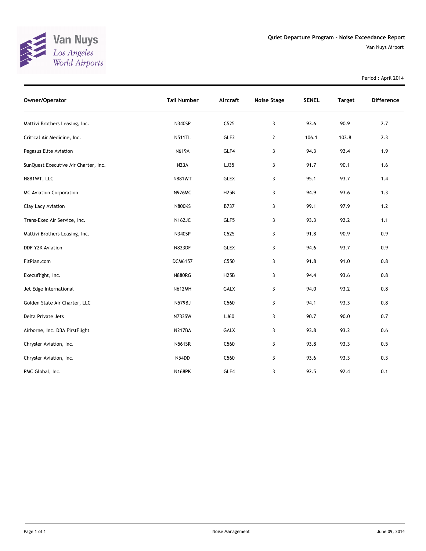

Van Nuys Airport

Period : April 2014

| Owner/Operator                       | <b>Tail Number</b> | Aircraft    | <b>Noise Stage</b> | <b>SENEL</b> | <b>Target</b> | <b>Difference</b> |
|--------------------------------------|--------------------|-------------|--------------------|--------------|---------------|-------------------|
| Mattivi Brothers Leasing, Inc.       | <b>N340SP</b>      | C525        | 3                  | 93.6         | 90.9          | 2.7               |
| Critical Air Medicine, Inc.          | <b>N511TL</b>      | GLF2        | $\overline{2}$     | 106.1        | 103.8         | 2.3               |
| Pegasus Elite Aviation               | <b>N619A</b>       | GLF4        | 3                  | 94.3         | 92.4          | 1.9               |
| SunQuest Executive Air Charter, Inc. | N <sub>2</sub> 3A  | LJ35        | 3                  | 91.7         | 90.1          | 1.6               |
| N881WT, LLC                          | <b>N881WT</b>      | <b>GLEX</b> | 3                  | 95.1         | 93.7          | 1.4               |
| <b>MC Aviation Corporation</b>       | <b>N926MC</b>      | <b>H25B</b> | 3                  | 94.9         | 93.6          | 1.3               |
| Clay Lacy Aviation                   | <b>N800KS</b>      | B737        | 3                  | 99.1         | 97.9          | $1.2$             |
| Trans-Exec Air Service, Inc.         | <b>N162JC</b>      | GLF5        | 3                  | 93.3         | 92.2          | 1.1               |
| Mattivi Brothers Leasing, Inc.       | <b>N340SP</b>      | C525        | 3                  | 91.8         | 90.9          | 0.9               |
| DDF Y2K Aviation                     | <b>N823DF</b>      | <b>GLEX</b> | 3                  | 94.6         | 93.7          | 0.9               |
| FltPlan.com                          | DCM6157            | C550        | 3                  | 91.8         | 91.0          | 0.8               |
| Execuflight, Inc.                    | <b>N880RG</b>      | H25B        | 3                  | 94.4         | 93.6          | 0.8               |
| Jet Edge International               | <b>N612MH</b>      | GALX        | 3                  | 94.0         | 93.2          | 0.8               |
| Golden State Air Charter, LLC        | N579BJ             | C560        | 3                  | 94.1         | 93.3          | 0.8               |
| Delta Private Jets                   | <b>N733SW</b>      | LJ60        | 3                  | 90.7         | 90.0          | 0.7               |
| Airborne, Inc. DBA FirstFlight       | N217BA             | GALX        | 3                  | 93.8         | 93.2          | 0.6               |
| Chrysler Aviation, Inc.              | <b>N561SR</b>      | C560        | 3                  | 93.8         | 93.3          | 0.5               |
| Chrysler Aviation, Inc.              | N54DD              | C560        | 3                  | 93.6         | 93.3          | 0.3               |
| PMC Global, Inc.                     | <b>N168PK</b>      | GLF4        | 3                  | 92.5         | 92.4          | 0.1               |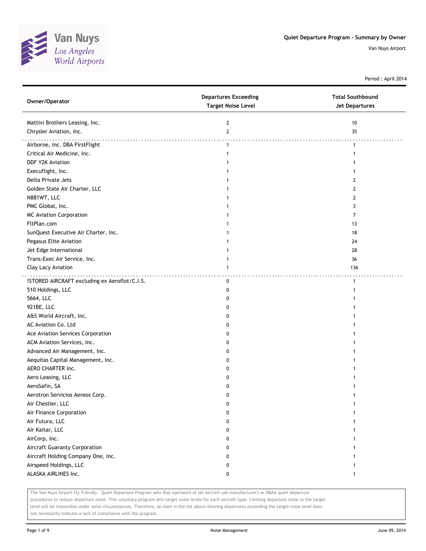

Period : April 2014

| Mattivi Brothers Leasing, Inc.<br>$\mathbf{2}$<br>10<br>Chrysler Aviation, Inc.<br>$\mathbf{2}$<br>35<br>Airborne, Inc. DBA FirstFlight<br>$\mathbf{1}$<br>$\mathbf{1}$<br>Critical Air Medicine, Inc.<br>1<br>-1<br>DDF Y2K Aviation<br>1<br>Execuflight, Inc.<br>Delta Private Jets<br>2<br>Golden State Air Charter, LLC<br>$\overline{2}$<br>N881WT, LLC<br>2<br>PMC Global, Inc.<br>3<br><b>MC Aviation Corporation</b><br>7<br>FltPlan.com<br>13<br>SunQuest Executive Air Charter, Inc.<br>18<br>Pegasus Elite Aviation<br>24<br>Jet Edge International<br>28<br>1<br>Trans-Exec Air Service, Inc.<br>36<br>1<br>Clay Lacy Aviation<br>136<br>1<br>!STORED AIRCRAFT excluding ex Aeroflot/C.I.S.<br>0<br>$\mathbf{1}$<br>510 Holdings, LLC<br>0<br>-1<br>5664, LLC<br>0<br>921BE, LLC<br>0<br>A&S World Aircraft, Inc.<br>0<br>AC Aviation Co. Ltd<br>0<br>Ace Aviation Services Corporation<br>0<br>ACM Aviation Services, Inc.<br>0<br>Advanced Air Management, Inc.<br>0<br>Aequitas Capital Management, Inc.<br>0<br>AERO CHARTER Inc.<br>0<br>Aero Leasing, LLC<br>0<br>AeroSafin, SA<br>0<br>Aerotron Servicios Aereos Corp.<br>0<br>Air Chestler, LLC<br>0<br>1<br>Air Finance Corporation<br>0<br>Air Futura, LLC<br>0<br>Air Kaitar, LLC<br>0<br>AirCorp, Inc.<br>0<br>Aircraft Guaranty Corporation<br>0<br>Aircraft Holding Company One, Inc.<br>0<br>Airspeed Holdings, LLC<br>0<br>ALASKA AIRLINES Inc.<br>0<br>$\mathbf{1}$ | Owner/Operator | <b>Departures Exceeding</b><br><b>Target Noise Level</b> | <b>Total Southbound</b><br><b>Jet Departures</b> |
|--------------------------------------------------------------------------------------------------------------------------------------------------------------------------------------------------------------------------------------------------------------------------------------------------------------------------------------------------------------------------------------------------------------------------------------------------------------------------------------------------------------------------------------------------------------------------------------------------------------------------------------------------------------------------------------------------------------------------------------------------------------------------------------------------------------------------------------------------------------------------------------------------------------------------------------------------------------------------------------------------------------------------------------------------------------------------------------------------------------------------------------------------------------------------------------------------------------------------------------------------------------------------------------------------------------------------------------------------------------------------------------------------------------------------------------------------|----------------|----------------------------------------------------------|--------------------------------------------------|
|                                                                                                                                                                                                                                                                                                                                                                                                                                                                                                                                                                                                                                                                                                                                                                                                                                                                                                                                                                                                                                                                                                                                                                                                                                                                                                                                                                                                                                                  |                |                                                          |                                                  |
|                                                                                                                                                                                                                                                                                                                                                                                                                                                                                                                                                                                                                                                                                                                                                                                                                                                                                                                                                                                                                                                                                                                                                                                                                                                                                                                                                                                                                                                  |                |                                                          |                                                  |
|                                                                                                                                                                                                                                                                                                                                                                                                                                                                                                                                                                                                                                                                                                                                                                                                                                                                                                                                                                                                                                                                                                                                                                                                                                                                                                                                                                                                                                                  |                |                                                          |                                                  |
|                                                                                                                                                                                                                                                                                                                                                                                                                                                                                                                                                                                                                                                                                                                                                                                                                                                                                                                                                                                                                                                                                                                                                                                                                                                                                                                                                                                                                                                  |                |                                                          |                                                  |
|                                                                                                                                                                                                                                                                                                                                                                                                                                                                                                                                                                                                                                                                                                                                                                                                                                                                                                                                                                                                                                                                                                                                                                                                                                                                                                                                                                                                                                                  |                |                                                          |                                                  |
|                                                                                                                                                                                                                                                                                                                                                                                                                                                                                                                                                                                                                                                                                                                                                                                                                                                                                                                                                                                                                                                                                                                                                                                                                                                                                                                                                                                                                                                  |                |                                                          |                                                  |
|                                                                                                                                                                                                                                                                                                                                                                                                                                                                                                                                                                                                                                                                                                                                                                                                                                                                                                                                                                                                                                                                                                                                                                                                                                                                                                                                                                                                                                                  |                |                                                          |                                                  |
|                                                                                                                                                                                                                                                                                                                                                                                                                                                                                                                                                                                                                                                                                                                                                                                                                                                                                                                                                                                                                                                                                                                                                                                                                                                                                                                                                                                                                                                  |                |                                                          |                                                  |
|                                                                                                                                                                                                                                                                                                                                                                                                                                                                                                                                                                                                                                                                                                                                                                                                                                                                                                                                                                                                                                                                                                                                                                                                                                                                                                                                                                                                                                                  |                |                                                          |                                                  |
|                                                                                                                                                                                                                                                                                                                                                                                                                                                                                                                                                                                                                                                                                                                                                                                                                                                                                                                                                                                                                                                                                                                                                                                                                                                                                                                                                                                                                                                  |                |                                                          |                                                  |
|                                                                                                                                                                                                                                                                                                                                                                                                                                                                                                                                                                                                                                                                                                                                                                                                                                                                                                                                                                                                                                                                                                                                                                                                                                                                                                                                                                                                                                                  |                |                                                          |                                                  |
|                                                                                                                                                                                                                                                                                                                                                                                                                                                                                                                                                                                                                                                                                                                                                                                                                                                                                                                                                                                                                                                                                                                                                                                                                                                                                                                                                                                                                                                  |                |                                                          |                                                  |
|                                                                                                                                                                                                                                                                                                                                                                                                                                                                                                                                                                                                                                                                                                                                                                                                                                                                                                                                                                                                                                                                                                                                                                                                                                                                                                                                                                                                                                                  |                |                                                          |                                                  |
|                                                                                                                                                                                                                                                                                                                                                                                                                                                                                                                                                                                                                                                                                                                                                                                                                                                                                                                                                                                                                                                                                                                                                                                                                                                                                                                                                                                                                                                  |                |                                                          |                                                  |
|                                                                                                                                                                                                                                                                                                                                                                                                                                                                                                                                                                                                                                                                                                                                                                                                                                                                                                                                                                                                                                                                                                                                                                                                                                                                                                                                                                                                                                                  |                |                                                          |                                                  |
|                                                                                                                                                                                                                                                                                                                                                                                                                                                                                                                                                                                                                                                                                                                                                                                                                                                                                                                                                                                                                                                                                                                                                                                                                                                                                                                                                                                                                                                  |                |                                                          |                                                  |
|                                                                                                                                                                                                                                                                                                                                                                                                                                                                                                                                                                                                                                                                                                                                                                                                                                                                                                                                                                                                                                                                                                                                                                                                                                                                                                                                                                                                                                                  |                |                                                          |                                                  |
|                                                                                                                                                                                                                                                                                                                                                                                                                                                                                                                                                                                                                                                                                                                                                                                                                                                                                                                                                                                                                                                                                                                                                                                                                                                                                                                                                                                                                                                  |                |                                                          |                                                  |
|                                                                                                                                                                                                                                                                                                                                                                                                                                                                                                                                                                                                                                                                                                                                                                                                                                                                                                                                                                                                                                                                                                                                                                                                                                                                                                                                                                                                                                                  |                |                                                          |                                                  |
|                                                                                                                                                                                                                                                                                                                                                                                                                                                                                                                                                                                                                                                                                                                                                                                                                                                                                                                                                                                                                                                                                                                                                                                                                                                                                                                                                                                                                                                  |                |                                                          |                                                  |
|                                                                                                                                                                                                                                                                                                                                                                                                                                                                                                                                                                                                                                                                                                                                                                                                                                                                                                                                                                                                                                                                                                                                                                                                                                                                                                                                                                                                                                                  |                |                                                          |                                                  |
|                                                                                                                                                                                                                                                                                                                                                                                                                                                                                                                                                                                                                                                                                                                                                                                                                                                                                                                                                                                                                                                                                                                                                                                                                                                                                                                                                                                                                                                  |                |                                                          |                                                  |
|                                                                                                                                                                                                                                                                                                                                                                                                                                                                                                                                                                                                                                                                                                                                                                                                                                                                                                                                                                                                                                                                                                                                                                                                                                                                                                                                                                                                                                                  |                |                                                          |                                                  |
|                                                                                                                                                                                                                                                                                                                                                                                                                                                                                                                                                                                                                                                                                                                                                                                                                                                                                                                                                                                                                                                                                                                                                                                                                                                                                                                                                                                                                                                  |                |                                                          |                                                  |
|                                                                                                                                                                                                                                                                                                                                                                                                                                                                                                                                                                                                                                                                                                                                                                                                                                                                                                                                                                                                                                                                                                                                                                                                                                                                                                                                                                                                                                                  |                |                                                          |                                                  |
|                                                                                                                                                                                                                                                                                                                                                                                                                                                                                                                                                                                                                                                                                                                                                                                                                                                                                                                                                                                                                                                                                                                                                                                                                                                                                                                                                                                                                                                  |                |                                                          |                                                  |
|                                                                                                                                                                                                                                                                                                                                                                                                                                                                                                                                                                                                                                                                                                                                                                                                                                                                                                                                                                                                                                                                                                                                                                                                                                                                                                                                                                                                                                                  |                |                                                          |                                                  |
|                                                                                                                                                                                                                                                                                                                                                                                                                                                                                                                                                                                                                                                                                                                                                                                                                                                                                                                                                                                                                                                                                                                                                                                                                                                                                                                                                                                                                                                  |                |                                                          |                                                  |
|                                                                                                                                                                                                                                                                                                                                                                                                                                                                                                                                                                                                                                                                                                                                                                                                                                                                                                                                                                                                                                                                                                                                                                                                                                                                                                                                                                                                                                                  |                |                                                          |                                                  |
|                                                                                                                                                                                                                                                                                                                                                                                                                                                                                                                                                                                                                                                                                                                                                                                                                                                                                                                                                                                                                                                                                                                                                                                                                                                                                                                                                                                                                                                  |                |                                                          |                                                  |
|                                                                                                                                                                                                                                                                                                                                                                                                                                                                                                                                                                                                                                                                                                                                                                                                                                                                                                                                                                                                                                                                                                                                                                                                                                                                                                                                                                                                                                                  |                |                                                          |                                                  |
|                                                                                                                                                                                                                                                                                                                                                                                                                                                                                                                                                                                                                                                                                                                                                                                                                                                                                                                                                                                                                                                                                                                                                                                                                                                                                                                                                                                                                                                  |                |                                                          |                                                  |
|                                                                                                                                                                                                                                                                                                                                                                                                                                                                                                                                                                                                                                                                                                                                                                                                                                                                                                                                                                                                                                                                                                                                                                                                                                                                                                                                                                                                                                                  |                |                                                          |                                                  |
|                                                                                                                                                                                                                                                                                                                                                                                                                                                                                                                                                                                                                                                                                                                                                                                                                                                                                                                                                                                                                                                                                                                                                                                                                                                                                                                                                                                                                                                  |                |                                                          |                                                  |
|                                                                                                                                                                                                                                                                                                                                                                                                                                                                                                                                                                                                                                                                                                                                                                                                                                                                                                                                                                                                                                                                                                                                                                                                                                                                                                                                                                                                                                                  |                |                                                          |                                                  |
|                                                                                                                                                                                                                                                                                                                                                                                                                                                                                                                                                                                                                                                                                                                                                                                                                                                                                                                                                                                                                                                                                                                                                                                                                                                                                                                                                                                                                                                  |                |                                                          |                                                  |
|                                                                                                                                                                                                                                                                                                                                                                                                                                                                                                                                                                                                                                                                                                                                                                                                                                                                                                                                                                                                                                                                                                                                                                                                                                                                                                                                                                                                                                                  |                |                                                          |                                                  |
|                                                                                                                                                                                                                                                                                                                                                                                                                                                                                                                                                                                                                                                                                                                                                                                                                                                                                                                                                                                                                                                                                                                                                                                                                                                                                                                                                                                                                                                  |                |                                                          |                                                  |
|                                                                                                                                                                                                                                                                                                                                                                                                                                                                                                                                                                                                                                                                                                                                                                                                                                                                                                                                                                                                                                                                                                                                                                                                                                                                                                                                                                                                                                                  |                |                                                          |                                                  |
|                                                                                                                                                                                                                                                                                                                                                                                                                                                                                                                                                                                                                                                                                                                                                                                                                                                                                                                                                                                                                                                                                                                                                                                                                                                                                                                                                                                                                                                  |                |                                                          |                                                  |

The Van Nuys Airport Fly Friendly - Quiet Departure Program asks that operators of jet aircraft use manufacturer's or NBAA quiet departure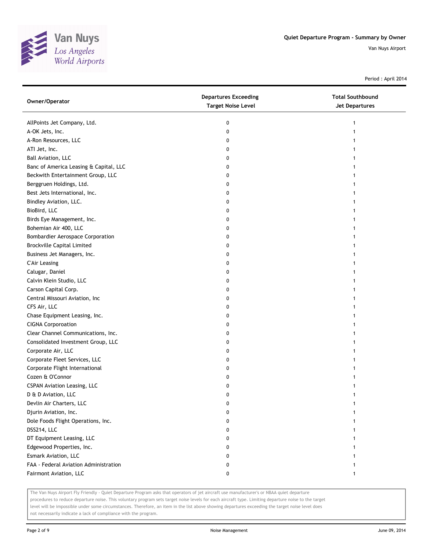

Period : April 2014

| Owner/Operator                         | <b>Departures Exceeding</b><br><b>Target Noise Level</b> | <b>Total Southbound</b><br>Jet Departures |
|----------------------------------------|----------------------------------------------------------|-------------------------------------------|
| AllPoints Jet Company, Ltd.            | 0                                                        |                                           |
| A-OK Jets, Inc.                        | 0                                                        |                                           |
| A-Ron Resources, LLC                   | 0                                                        |                                           |
| ATI Jet, Inc.                          | 0                                                        |                                           |
| Ball Aviation, LLC                     | 0                                                        |                                           |
| Banc of America Leasing & Capital, LLC | 0                                                        |                                           |
| Beckwith Entertainment Group, LLC      | 0                                                        |                                           |
| Berggruen Holdings, Ltd.               | 0                                                        |                                           |
| Best Jets International, Inc.          | 0                                                        |                                           |
| Bindley Aviation, LLC.                 | 0                                                        |                                           |
| BioBird, LLC                           | 0                                                        |                                           |
| Birds Eye Management, Inc.             | 0                                                        |                                           |
| Bohemian Air 400, LLC                  | 0                                                        |                                           |
| Bombardier Aerospace Corporation       | 0                                                        |                                           |
| <b>Brockville Capital Limited</b>      | 0                                                        |                                           |
| Business Jet Managers, Inc.            | 0                                                        |                                           |
| <b>C'Air Leasing</b>                   | 0                                                        |                                           |
| Calugar, Daniel                        | 0                                                        |                                           |
| Calvin Klein Studio, LLC               | 0                                                        |                                           |
| Carson Capital Corp.                   | 0                                                        |                                           |
| Central Missouri Aviation, Inc         | 0                                                        |                                           |
| CFS Air, LLC                           | 0                                                        |                                           |
| Chase Equipment Leasing, Inc.          | 0                                                        |                                           |
| <b>CIGNA Corporoation</b>              | 0                                                        |                                           |
| Clear Channel Communications, Inc.     | 0                                                        |                                           |
| Consolidated Investment Group, LLC     | 0                                                        |                                           |
| Corporate Air, LLC                     | 0                                                        |                                           |
| Corporate Fleet Services, LLC          | 0                                                        |                                           |
| Corporate Flight International         | 0                                                        |                                           |
| Cozen & O'Connor                       | 0                                                        |                                           |
| <b>CSPAN Aviation Leasing, LLC</b>     | 0                                                        |                                           |
| D & D Aviation, LLC                    | 0                                                        |                                           |
| Devlin Air Charters, LLC               | 0                                                        |                                           |
| Djurin Aviation, Inc.                  | 0                                                        |                                           |
| Dole Foods Flight Operations, Inc.     | 0                                                        |                                           |
| DSS214, LLC                            | 0                                                        |                                           |
| DT Equipment Leasing, LLC              | 0                                                        |                                           |
| Edgewood Properties, Inc.              | 0                                                        |                                           |
| Esmark Aviation, LLC                   | 0                                                        |                                           |
| FAA - Federal Aviation Administration  | 0                                                        |                                           |
| Fairmont Aviation, LLC                 | 0                                                        | 1                                         |

The Van Nuys Airport Fly Friendly - Quiet Departure Program asks that operators of jet aircraft use manufacturer's or NBAA quiet departure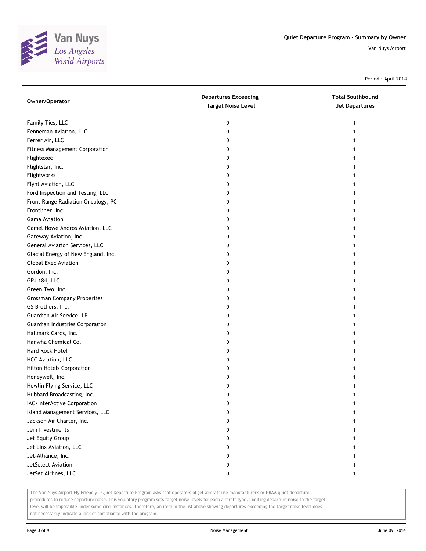

Period : April 2014

| Owner/Operator                        | <b>Departures Exceeding</b><br><b>Target Noise Level</b> | <b>Total Southbound</b><br><b>Jet Departures</b> |
|---------------------------------------|----------------------------------------------------------|--------------------------------------------------|
| Family Ties, LLC                      | 0                                                        | 1                                                |
| Fenneman Aviation, LLC                | 0                                                        |                                                  |
| Ferrer Air, LLC                       | 0                                                        |                                                  |
| <b>Fitness Management Corporation</b> | 0                                                        |                                                  |
| Flightexec                            | 0                                                        |                                                  |
| Flightstar, Inc.                      | 0                                                        |                                                  |
| Flightworks                           | 0                                                        |                                                  |
| Flynt Aviation, LLC                   | 0                                                        |                                                  |
| Ford Inspection and Testing, LLC      | 0                                                        |                                                  |
| Front Range Radiation Oncology, PC    | 0                                                        |                                                  |
| Frontliner, Inc.                      | 0                                                        |                                                  |
| <b>Gama Aviation</b>                  | 0                                                        |                                                  |
| Gamel Howe Andros Aviation, LLC       | 0                                                        |                                                  |
| Gateway Aviation, Inc.                | 0                                                        |                                                  |
| General Aviation Services, LLC        | 0                                                        |                                                  |
| Glacial Energy of New England, Inc.   | 0                                                        |                                                  |
| <b>Global Exec Aviation</b>           | 0                                                        |                                                  |
| Gordon, Inc.                          | 0                                                        |                                                  |
| <b>GPJ 184, LLC</b>                   | 0                                                        |                                                  |
| Green Two, Inc.                       | 0                                                        |                                                  |
| <b>Grossman Company Properties</b>    | 0                                                        |                                                  |
| GS Brothers, Inc.                     | 0                                                        |                                                  |
| Guardian Air Service, LP              | 0                                                        |                                                  |
| Guardian Industries Corporation       | 0                                                        |                                                  |
| Hallmark Cards, Inc.                  | 0                                                        |                                                  |
| Hanwha Chemical Co.                   | 0                                                        |                                                  |
| Hard Rock Hotel                       | 0                                                        |                                                  |
| HCC Aviation, LLC                     | 0                                                        |                                                  |
| <b>Hilton Hotels Corporation</b>      | 0                                                        |                                                  |
| Honeywell, Inc.                       | 0                                                        |                                                  |
| Howlin Flying Service, LLC            | 0                                                        |                                                  |
| Hubbard Broadcasting, Inc.            | 0                                                        |                                                  |
| IAC/InterActive Corporation           | 0                                                        |                                                  |
| Island Management Services, LLC       | 0                                                        |                                                  |
| Jackson Air Charter, Inc.             | 0                                                        |                                                  |
| Jem Investments                       | 0                                                        |                                                  |
| Jet Equity Group                      | 0                                                        |                                                  |
| Jet Linx Aviation, LLC                | 0                                                        |                                                  |
| Jet-Alliance, Inc.                    | 0                                                        |                                                  |
| JetSelect Aviation                    | 0                                                        |                                                  |
| JetSet Airlines, LLC                  | 0                                                        |                                                  |

The Van Nuys Airport Fly Friendly - Quiet Departure Program asks that operators of jet aircraft use manufacturer's or NBAA quiet departure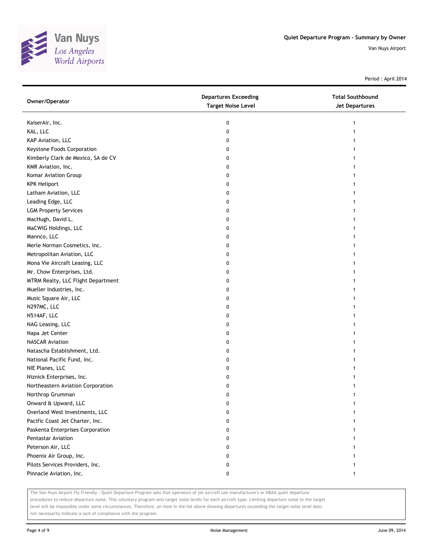

Period : April 2014

| Owner/Operator                     | <b>Departures Exceeding</b><br><b>Target Noise Level</b> | <b>Total Southbound</b><br><b>Jet Departures</b> |
|------------------------------------|----------------------------------------------------------|--------------------------------------------------|
| KaiserAir, Inc.                    | 0                                                        | 1                                                |
| KAL, LLC                           | 0                                                        |                                                  |
| KAP Aviation, LLC                  | 0                                                        |                                                  |
| Keystone Foods Corporation         | 0                                                        |                                                  |
| Kimberly Clark de Mexico, SA de CV | 0                                                        | 1                                                |
| KMR Aviation, Inc.                 | 0                                                        | 1                                                |
| Komar Aviation Group               | 0                                                        | 1                                                |
| <b>KPK Heliport</b>                | 0                                                        |                                                  |
| Latham Aviation, LLC               | 0                                                        |                                                  |
| Leading Edge, LLC                  | 0                                                        |                                                  |
| <b>LGM Property Services</b>       | 0                                                        |                                                  |
| MacHugh, David L.                  | 0                                                        |                                                  |
| MaCWIG Holdings, LLC               | 0                                                        |                                                  |
| Mannco, LLC                        | 0                                                        |                                                  |
| Merle Norman Cosmetics, Inc.       | 0                                                        | 1                                                |
| Metropolitan Aviation, LLC         | 0                                                        | 1                                                |
| Mona Vie Aircraft Leasing, LLC     | 0                                                        |                                                  |
| Mr. Chow Enterprises, Ltd.         | 0                                                        |                                                  |
| MTRM Realty, LLC Flight Department | 0                                                        |                                                  |
| Mueller Industries, Inc.           | 0                                                        |                                                  |
| Music Square Air, LLC              | 0                                                        |                                                  |
| N297MC, LLC                        | 0                                                        |                                                  |
| N514AF, LLC                        | 0                                                        |                                                  |
| NAG Leasing, LLC                   | 0                                                        | 1                                                |
| Napa Jet Center                    | 0                                                        | 1                                                |
| <b>NASCAR Aviation</b>             | 0                                                        | 1                                                |
| Natascha Establishment, Ltd.       | 0                                                        | 1                                                |
| National Pacific Fund, Inc.        | 0                                                        |                                                  |
| NIE Planes, LLC                    | 0                                                        |                                                  |
| Niznick Enterprises, Inc.          | 0                                                        |                                                  |
| Northeastern Aviation Corporation  | 0                                                        |                                                  |
| Northrop Grumman                   | 0                                                        |                                                  |
| Onward & Upward, LLC               | 0                                                        |                                                  |
| Overland West Investments, LLC     | O                                                        |                                                  |
| Pacific Coast Jet Charter, Inc.    | 0                                                        |                                                  |
| Paskenta Enterprises Corporation   | 0                                                        |                                                  |
| <b>Pentastar Aviation</b>          | 0                                                        |                                                  |
| Peterson Air, LLC                  | 0                                                        |                                                  |
| Phoenix Air Group, Inc.            | 0                                                        |                                                  |
| Pilots Services Providers, Inc.    | 0                                                        |                                                  |
| Pinnacle Aviation, Inc.            | 0                                                        | 1                                                |

The Van Nuys Airport Fly Friendly - Quiet Departure Program asks that operators of jet aircraft use manufacturer's or NBAA quiet departure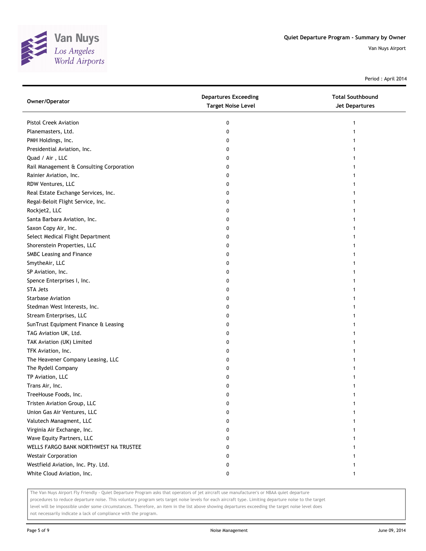

Period : April 2014

| Owner/Operator                           | <b>Departures Exceeding</b><br><b>Target Noise Level</b> | <b>Total Southbound</b><br><b>Jet Departures</b> |
|------------------------------------------|----------------------------------------------------------|--------------------------------------------------|
| Pistol Creek Aviation                    | 0                                                        | 1                                                |
| Planemasters, Ltd.                       | 0                                                        |                                                  |
| PMH Holdings, Inc.                       | 0                                                        |                                                  |
| Presidential Aviation, Inc.              | 0                                                        |                                                  |
| Quad / Air, LLC                          | 0                                                        |                                                  |
| Rail Management & Consulting Corporation | 0                                                        |                                                  |
| Rainier Aviation, Inc.                   | 0                                                        |                                                  |
| RDW Ventures, LLC                        | 0                                                        |                                                  |
| Real Estate Exchange Services, Inc.      | 0                                                        |                                                  |
| Regal-Beloit Flight Service, Inc.        | 0                                                        |                                                  |
| Rockjet2, LLC                            | 0                                                        |                                                  |
| Santa Barbara Aviation, Inc.             | 0                                                        |                                                  |
| Saxon Copy Air, Inc.                     | 0                                                        |                                                  |
| Select Medical Flight Department         | 0                                                        |                                                  |
| Shorenstein Properties, LLC              | 0                                                        |                                                  |
| SMBC Leasing and Finance                 | 0                                                        |                                                  |
| SmytheAir, LLC                           | 0                                                        |                                                  |
| SP Aviation, Inc.                        | 0                                                        |                                                  |
| Spence Enterprises I, Inc.               | 0                                                        |                                                  |
| <b>STA Jets</b>                          | 0                                                        |                                                  |
| <b>Starbase Aviation</b>                 | 0                                                        |                                                  |
| Stedman West Interests, Inc.             | 0                                                        |                                                  |
| Stream Enterprises, LLC                  | 0                                                        |                                                  |
| SunTrust Equipment Finance & Leasing     | 0                                                        |                                                  |
| TAG Aviation UK, Ltd.                    | 0                                                        |                                                  |
| TAK Aviation (UK) Limited                | 0                                                        |                                                  |
| TFK Aviation, Inc.                       | 0                                                        |                                                  |
| The Heavener Company Leasing, LLC        | 0                                                        |                                                  |
| The Rydell Company                       | 0                                                        |                                                  |
| TP Aviation, LLC                         | 0                                                        |                                                  |
| Trans Air, Inc.                          | 0                                                        |                                                  |
| TreeHouse Foods, Inc.                    | 0                                                        |                                                  |
| Tristen Aviation Group, LLC              | 0                                                        |                                                  |
| Union Gas Air Ventures, LLC              | 0                                                        |                                                  |
| Valutech Managment, LLC                  | 0                                                        |                                                  |
| Virginia Air Exchange, Inc.              | 0                                                        |                                                  |
| Wave Equity Partners, LLC                | 0                                                        |                                                  |
| WELLS FARGO BANK NORTHWEST NA TRUSTEE    | 0                                                        |                                                  |
| <b>Westair Corporation</b>               | 0                                                        |                                                  |
| Westfield Aviation, Inc. Pty. Ltd.       | 0                                                        |                                                  |
| White Cloud Aviation, Inc.               | 0                                                        | 1                                                |

The Van Nuys Airport Fly Friendly - Quiet Departure Program asks that operators of jet aircraft use manufacturer's or NBAA quiet departure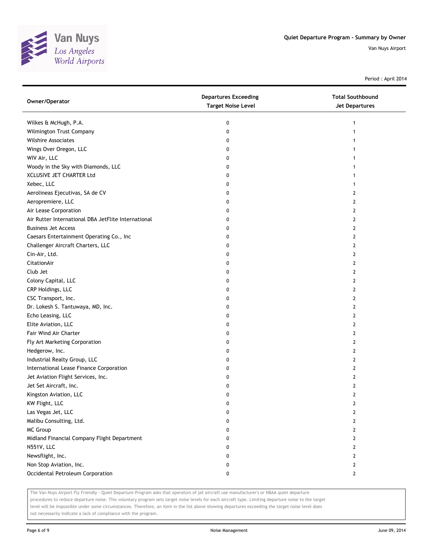

Period : April 2014

| Owner/Operator                                      | <b>Departures Exceeding</b><br><b>Target Noise Level</b> | <b>Total Southbound</b><br><b>Jet Departures</b> |
|-----------------------------------------------------|----------------------------------------------------------|--------------------------------------------------|
| Wilkes & McHugh, P.A.                               | 0                                                        | 1                                                |
| Wilmington Trust Company                            | 0                                                        |                                                  |
| <b>Wilshire Associates</b>                          | 0                                                        |                                                  |
| Wings Over Oregon, LLC                              | 0                                                        |                                                  |
| WIV Air, LLC                                        | 0                                                        |                                                  |
| Woody in the Sky with Diamonds, LLC                 | 0                                                        | 1                                                |
| XCLUSIVE JET CHARTER Ltd                            | 0                                                        | 1                                                |
| Xebec, LLC                                          | 0                                                        | 1                                                |
| Aerolineas Ejecutivas, SA de CV                     | 0                                                        | $\overline{2}$                                   |
| Aeropremiere, LLC                                   | 0                                                        | $\overline{2}$                                   |
| Air Lease Corporation                               | 0                                                        | $\overline{2}$                                   |
| Air Rutter International DBA JetFlite International | 0                                                        | $\overline{2}$                                   |
| <b>Business Jet Access</b>                          | 0                                                        | 2                                                |
| Caesars Entertainment Operating Co., Inc            | 0                                                        | $\mathbf{2}$                                     |
| Challenger Aircraft Charters, LLC                   | 0                                                        | 2                                                |
| Cin-Air, Ltd.                                       | 0                                                        | 2                                                |
| CitationAir                                         | 0                                                        | 2                                                |
| Club Jet                                            | 0                                                        | 2                                                |
| Colony Capital, LLC                                 | 0                                                        | $\mathbf{2}$                                     |
| CRP Holdings, LLC                                   | 0                                                        | 2                                                |
| CSC Transport, Inc.                                 | 0                                                        | $\overline{2}$                                   |
| Dr. Lokesh S. Tantuwaya, MD, Inc.                   | 0                                                        | $\mathbf{2}$                                     |
| Echo Leasing, LLC                                   | 0                                                        | $\mathbf{2}$                                     |
| Elite Aviation, LLC                                 | 0                                                        | $\mathbf{2}$                                     |
| Fair Wind Air Charter                               | 0                                                        | 2                                                |
| Fly Art Marketing Corporation                       | 0                                                        | 2                                                |
| Hedgerow, Inc.                                      | 0                                                        | 2                                                |
| Industrial Realty Group, LLC                        | 0                                                        | $\overline{2}$                                   |
| International Lease Finance Corporation             | 0                                                        | $\mathbf{2}$                                     |
| Jet Aviation Flight Services, Inc.                  | 0                                                        | 2                                                |
| Jet Set Aircraft, Inc.                              | 0                                                        | 2                                                |
| Kingston Aviation, LLC                              | 0                                                        | $\mathbf{2}$                                     |
| KW Flight, LLC                                      | 0                                                        | 2                                                |
| Las Vegas Jet, LLC                                  | 0                                                        | 2                                                |
| Malibu Consulting, Ltd.                             | 0                                                        | $\overline{2}$                                   |
| <b>MC Group</b>                                     | 0                                                        | 2                                                |
| Midland Financial Company Flight Department         | 0                                                        | $\overline{2}$                                   |
| N551V, LLC                                          | 0                                                        | $\overline{2}$                                   |
| Newsflight, Inc.                                    | 0                                                        | $\overline{2}$                                   |
| Non Stop Aviation, Inc.                             | 0                                                        | $\overline{2}$                                   |
| Occidental Petroleum Corporation                    | 0                                                        | $\mathbf{2}$                                     |

The Van Nuys Airport Fly Friendly - Quiet Departure Program asks that operators of jet aircraft use manufacturer's or NBAA quiet departure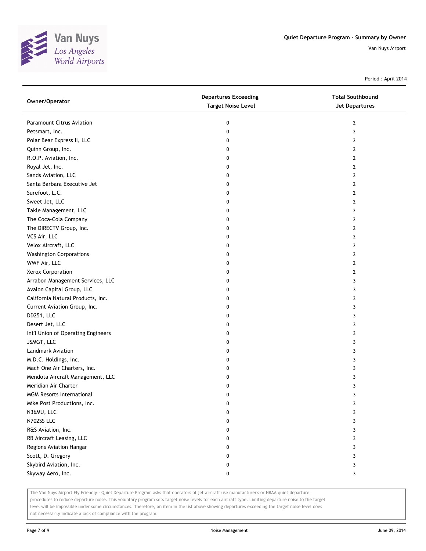

Period : April 2014

| Owner/Operator                     | <b>Departures Exceeding</b><br><b>Target Noise Level</b> | <b>Total Southbound</b><br>Jet Departures |
|------------------------------------|----------------------------------------------------------|-------------------------------------------|
| <b>Paramount Citrus Aviation</b>   | 0                                                        | 2                                         |
| Petsmart, Inc.                     | 0                                                        | 2                                         |
| Polar Bear Express II, LLC         | 0                                                        | 2                                         |
| Quinn Group, Inc.                  | 0                                                        | $\mathbf{2}$                              |
| R.O.P. Aviation, Inc.              | 0                                                        | 2                                         |
| Royal Jet, Inc.                    | 0                                                        | 2                                         |
| Sands Aviation, LLC                | 0                                                        | 2                                         |
| Santa Barbara Executive Jet        | 0                                                        | 2                                         |
| Surefoot, L.C.                     | 0                                                        | $\overline{2}$                            |
| Sweet Jet, LLC                     | 0                                                        | $\overline{2}$                            |
| Takle Management, LLC              | 0                                                        | 2                                         |
| The Coca-Cola Company              | 0                                                        | 2                                         |
| The DIRECTV Group, Inc.            | 0                                                        | 2                                         |
| VCS Air, LLC                       | 0                                                        | $\overline{2}$                            |
| Velox Aircraft, LLC                | 0                                                        | 2                                         |
| <b>Washington Corporations</b>     | 0                                                        | 2                                         |
| WWF Air, LLC                       | 0                                                        | 2                                         |
| Xerox Corporation                  | 0                                                        | 2                                         |
| Arrabon Management Services, LLC   | 0                                                        | 3                                         |
| Avalon Capital Group, LLC          | 0                                                        | 3                                         |
| California Natural Products, Inc.  | 0                                                        | 3                                         |
| Current Aviation Group, Inc.       | 0                                                        | 3                                         |
| DD251, LLC                         | 0                                                        | 3                                         |
| Desert Jet, LLC                    | 0                                                        | 3                                         |
| Int'l Union of Operating Engineers | 0                                                        | 3                                         |
| JSMGT, LLC                         | 0                                                        | 3                                         |
| <b>Landmark Aviation</b>           | 0                                                        | 3                                         |
| M.D.C. Holdings, Inc.              | 0                                                        | 3                                         |
| Mach One Air Charters, Inc.        | 0                                                        | 3                                         |
| Mendota Aircraft Management, LLC   | 0                                                        | 3                                         |
| Meridian Air Charter               | 0                                                        | 3                                         |
| <b>MGM Resorts International</b>   | 0                                                        | 3                                         |
| Mike Post Productions, Inc.        | 0                                                        | 3                                         |
| N36MU, LLC                         | 0                                                        | 3                                         |
| N702SS LLC                         | 0                                                        | 3                                         |
| R&S Aviation, Inc.                 | 0                                                        | 3                                         |
| RB Aircraft Leasing, LLC           | 0                                                        | 3                                         |
| Regions Aviation Hangar            | 0                                                        | 3                                         |
| Scott, D. Gregory                  | 0                                                        | 3                                         |
| Skybird Aviation, Inc.             | 0                                                        | 3                                         |
| Skyway Aero, Inc.                  | 0                                                        | 3                                         |

The Van Nuys Airport Fly Friendly - Quiet Departure Program asks that operators of jet aircraft use manufacturer's or NBAA quiet departure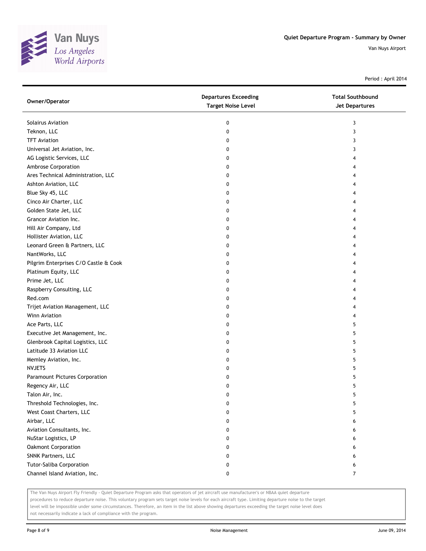

Period : April 2014

| Owner/Operator                        | <b>Departures Exceeding</b><br><b>Target Noise Level</b> | <b>Total Southbound</b><br><b>Jet Departures</b> |
|---------------------------------------|----------------------------------------------------------|--------------------------------------------------|
| Solairus Aviation                     | 0                                                        | 3                                                |
| Teknon, LLC                           | 0                                                        | 3                                                |
| <b>TFT Aviation</b>                   | 0                                                        | 3                                                |
| Universal Jet Aviation, Inc.          | 0                                                        | 3                                                |
| AG Logistic Services, LLC             | 0                                                        | 4                                                |
| Ambrose Corporation                   | 0                                                        | 4                                                |
| Ares Technical Administration, LLC    | 0                                                        | 4                                                |
| Ashton Aviation, LLC                  | 0                                                        | 4                                                |
| Blue Sky 45, LLC                      | 0                                                        | 4                                                |
| Cinco Air Charter, LLC                | 0                                                        | 4                                                |
| Golden State Jet, LLC                 | 0                                                        | 4                                                |
| Grancor Aviation Inc.                 | 0                                                        | 4                                                |
| Hill Air Company, Ltd                 | 0                                                        | 4                                                |
| Hollister Aviation, LLC               | 0                                                        | 4                                                |
| Leonard Green & Partners, LLC         | 0                                                        | 4                                                |
| NantWorks, LLC                        | 0                                                        | 4                                                |
| Pilgrim Enterprises C/O Castle & Cook | 0                                                        | 4                                                |
| Platinum Equity, LLC                  | 0                                                        | 4                                                |
| Prime Jet, LLC                        | 0                                                        | 4                                                |
| Raspberry Consulting, LLC             | 0                                                        | 4                                                |
| Red.com                               | 0                                                        | 4                                                |
| Trijet Aviation Management, LLC       | 0                                                        | 4                                                |
| Winn Aviation                         | 0                                                        | 4                                                |
| Ace Parts, LLC                        | 0                                                        | 5                                                |
| Executive Jet Management, Inc.        | 0                                                        | 5                                                |
| Glenbrook Capital Logistics, LLC      | 0                                                        | 5                                                |
| Latitude 33 Aviation LLC              | 0                                                        | 5                                                |
| Memley Aviation, Inc.                 | 0                                                        | 5                                                |
| <b>NVJETS</b>                         | 0                                                        | 5                                                |
| Paramount Pictures Corporation        | 0                                                        | 5                                                |
| Regency Air, LLC                      | 0                                                        | 5                                                |
| Talon Air, Inc.                       | 0                                                        | 5                                                |
| Threshold Technologies, Inc.          | 0                                                        | 5                                                |
| West Coast Charters, LLC              | 0                                                        | 5                                                |
| Airbar, LLC                           | 0                                                        | 6                                                |
| Aviation Consultants, Inc.            | 0                                                        | 6                                                |
| NuStar Logistics, LP                  | 0                                                        | 6                                                |
| Oakmont Corporation                   | 0                                                        | 6                                                |
| SNNK Partners, LLC                    | 0                                                        | 6                                                |
| Tutor-Saliba Corporation              | 0                                                        | 6                                                |
| Channel Island Aviation, Inc.         | 0                                                        | $\overline{7}$                                   |

The Van Nuys Airport Fly Friendly - Quiet Departure Program asks that operators of jet aircraft use manufacturer's or NBAA quiet departure